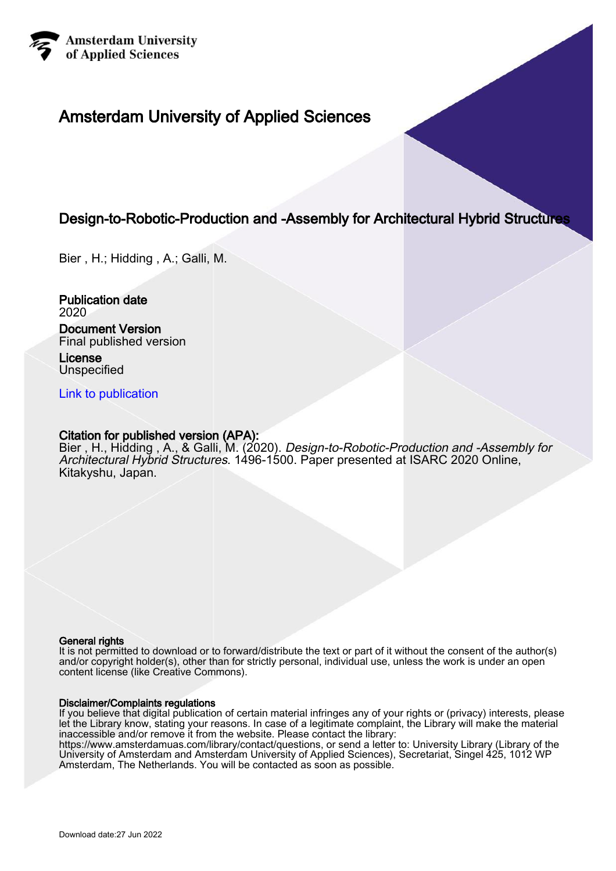

# Amsterdam University of Applied Sciences

# Design-to-Robotic-Production and -Assembly for Architectural Hybrid Structures

Bier , H.; Hidding , A.; Galli, M.

Publication date 2020

# Document Version Final published version

License Unspecified

[Link to publication](https://research.hva.nl/en/publications/2f5fedda-c492-4879-880d-0cb8aa823df8)

# Citation for published version (APA):

Bier , H., Hidding , A., & Galli, M. (2020). Design-to-Robotic-Production and -Assembly for Architectural Hybrid Structures. 1496-1500. Paper presented at ISARC 2020 Online, Kitakyshu, Japan.

#### General rights

It is not permitted to download or to forward/distribute the text or part of it without the consent of the author(s) and/or copyright holder(s), other than for strictly personal, individual use, unless the work is under an open content license (like Creative Commons).

#### Disclaimer/Complaints regulations

If you believe that digital publication of certain material infringes any of your rights or (privacy) interests, please let the Library know, stating your reasons. In case of a legitimate complaint, the Library will make the material inaccessible and/or remove it from the website. Please contact the library:

https://www.amsterdamuas.com/library/contact/questions, or send a letter to: University Library (Library of the University of Amsterdam and Amsterdam University of Applied Sciences), Secretariat, Singel 425, 1012 WP Amsterdam, The Netherlands. You will be contacted as soon as possible.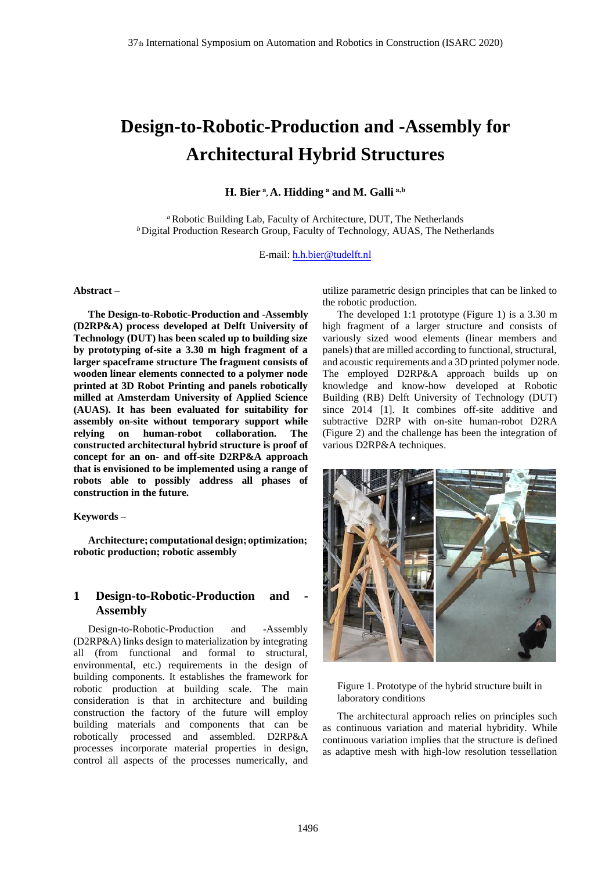# **Design-to-Robotic-Production and -Assembly for Architectural Hybrid Structures**

### **H. Bier<sup>a</sup> , A. Hidding<sup>a</sup> and M. Galli a,b**

*<sup>a</sup>*Robotic Building Lab, Faculty of Architecture, DUT, The Netherlands <sup>b</sup> Digital Production Research Group, Faculty of Technology, AUAS, The Netherlands

E-mail: [h.h.bier@tudelft.nl](mailto:h.h.bier@tudelft.nl)

#### **Abstract –**

**The Design-to-Robotic-Production and -Assembly (D2RP&A) process developed at Delft University of Technology (DUT) has been scaled up to building size by prototyping of-site a 3.30 m high fragment of a larger spaceframe structure The fragment consists of wooden linear elements connected to a polymer node printed at 3D Robot Printing and panels robotically milled at Amsterdam University of Applied Science (AUAS). It has been evaluated for suitability for assembly on-site without temporary support while relying on human-robot collaboration. The constructed architectural hybrid structure is proof of concept for an on- and off-site D2RP&A approach that is envisioned to be implemented using a range of robots able to possibly address all phases of construction in the future.** 

#### **Keywords –**

**Architecture; computationaldesign; optimization; robotic production; robotic assembly** 

# 1 **Design-to-Robotic-Production** and **Assembly**

Design-to-Robotic-Production and -Assembly (D2RP&A) links design to materialization by integrating all (from functional and formal to structural, environmental, etc.) requirements in the design of building components. It establishes the framework for robotic production at building scale. The main consideration is that in architecture and building construction the factory of the future will employ building materials and components that can be robotically processed and assembled. D2RP&A processes incorporate material properties in design, control all aspects of the processes numerically, and

utilize parametric design principles that can be linked to the robotic production.

The developed 1:1 prototype (Figure 1) is a 3.30 m high fragment of a larger structure and consists of variously sized wood elements (linear members and panels) that are milled according to functional, structural, and acoustic requirements and a 3D printed polymer node. The employed D2RP&A approach builds up on knowledge and know-how developed at Robotic Building (RB) Delft University of Technology (DUT) since 2014 [1]. It combines off-site additive and subtractive D2RP with on-site human-robot D2RA (Figure 2) and the challenge has been the integration of various D2RP&A techniques.



Figure 1. Prototype of the hybrid structure built in laboratory conditions

The architectural approach relies on principles such continuous variation and material hybridity. While continuous variation implies that the structure is defined as adaptive mesh with high-low resolution tessellation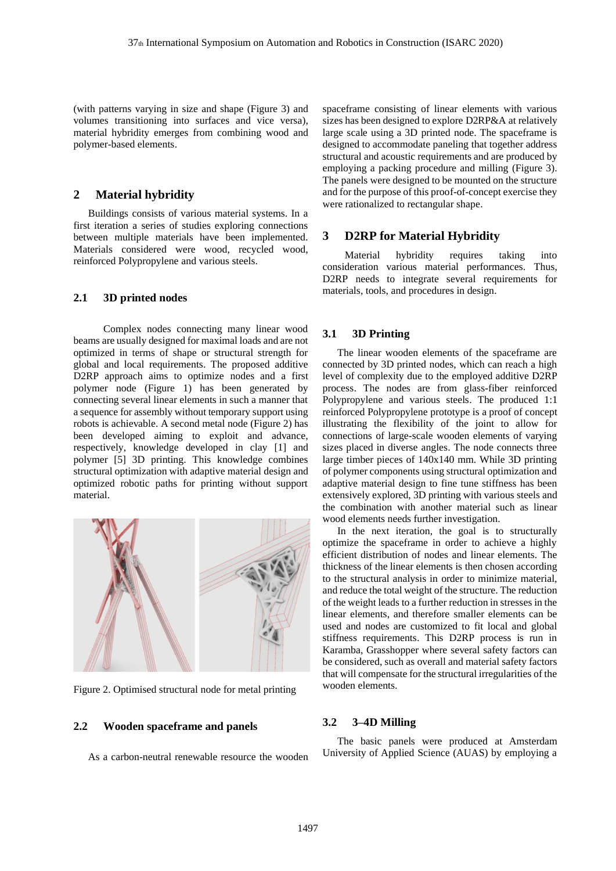(with patterns varying in size and shape (Figure 3) and volumes transitioning into surfaces and vice versa), material hybridity emerges from combining wood and polymer-based elements.

#### **2 Material hybridity**

Buildings consists of various material systems. In a first iteration a series of studies exploring connections between multiple materials have been implemented. Materials considered were wood, recycled wood, reinforced Polypropylene and various steels.

#### **2.1 3D printed nodes**

Complex nodes connecting many linear wood beams are usually designed for maximal loads and are not optimized in terms of shape or structural strength for global and local requirements. The proposed additive D2RP approach aims to optimize nodes and a first polymer node (Figure 1) has been generated by connecting several linear elements in such a manner that a sequence for assembly without temporary support using robots is achievable. A second metal node (Figure 2) has been developed aiming to exploit and advance, respectively, knowledge developed in clay [1] and polymer [5] 3D printing. This knowledge combines structural optimization with adaptive material design and optimized robotic paths for printing without support material.



Figure 2. Optimised structural node for metal printing

#### **2.2 Wooden spaceframe and panels**

As a carbon-neutral renewable resource the wooden

spaceframe consisting of linear elements with various sizes has been designed to explore D2RP&A at relatively large scale using a 3D printed node. The spaceframe is designed to accommodate paneling that together address structural and acoustic requirements and are produced by employing a packing procedure and milling (Figure 3). The panels were designed to be mounted on the structure and for the purpose of this proof-of-concept exercise they were rationalized to rectangular shape.

#### **3 D2RP for Material Hybridity**

Material hybridity requires taking into consideration various material performances. Thus, D2RP needs to integrate several requirements for materials, tools, and procedures in design.

#### **3.1 3D Printing**

The linear wooden elements of the spaceframe are connected by 3D printed nodes, which can reach a high level of complexity due to the employed additive D2RP process. The nodes are from glass-fiber reinforced Polypropylene and various steels. The produced 1:1 reinforced Polypropylene prototype is a proof of concept illustrating the flexibility of the joint to allow for connections of large-scale wooden elements of varying sizes placed in diverse angles. The node connects three large timber pieces of 140x140 mm. While 3D printing of polymer components using structural optimization and adaptive material design to fine tune stiffness has been extensively explored, 3D printing with various steels and the combination with another material such as linear wood elements needs further investigation.

In the next iteration, the goal is to structurally optimize the spaceframe in order to achieve a highly efficient distribution of nodes and linear elements. The thickness of the linear elements is then chosen according to the structural analysis in order to minimize material, and reduce the total weight of the structure. The reduction of the weight leads to a further reduction in stresses in the linear elements, and therefore smaller elements can be used and nodes are customized to fit local and global stiffness requirements. This D2RP process is run in Karamba, Grasshopper where several safety factors can be considered, such as overall and material safety factors that will compensate for the structural irregularities of the wooden elements.

#### **3.2 3–4D Milling**

The basic panels were produced at Amsterdam University of Applied Science (AUAS) by employing a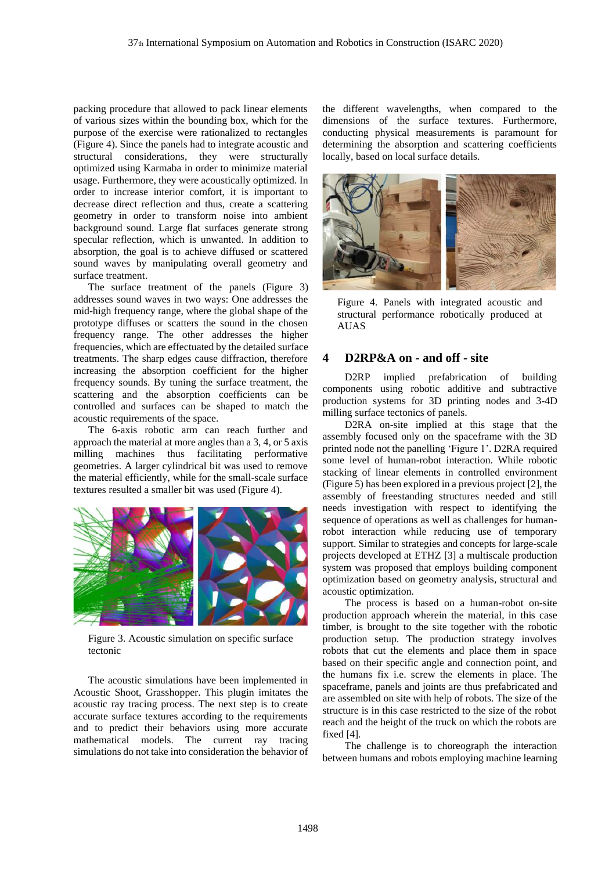packing procedure that allowed to pack linear elements of various sizes within the bounding box, which for the purpose of the exercise were rationalized to rectangles (Figure 4). Since the panels had to integrate acoustic and structural considerations, they were structurally optimized using Karmaba in order to minimize material usage. Furthermore, they were acoustically optimized. In order to increase interior comfort, it is important to decrease direct reflection and thus, create a scattering geometry in order to transform noise into ambient background sound. Large flat surfaces generate strong specular reflection, which is unwanted. In addition to absorption, the goal is to achieve diffused or scattered sound waves by manipulating overall geometry and surface treatment.

The surface treatment of the panels (Figure 3) addresses sound waves in two ways: One addresses the mid-high frequency range, where the global shape of the prototype diffuses or scatters the sound in the chosen frequency range. The other addresses the higher frequencies, which are effectuated by the detailed surface treatments. The sharp edges cause diffraction, therefore increasing the absorption coefficient for the higher frequency sounds. By tuning the surface treatment, the scattering and the absorption coefficients can be controlled and surfaces can be shaped to match the acoustic requirements of the space.

The 6-axis robotic arm can reach further and approach the material at more angles than a 3, 4, or 5 axis milling machines thus facilitating performative geometries. A larger cylindrical bit was used to remove the material efficiently, while for the small-scale surface textures resulted a smaller bit was used (Figure 4).



Figure 3. Acoustic simulation on specific surface tectonic

The acoustic simulations have been implemented in Acoustic Shoot, Grasshopper. This plugin imitates the acoustic ray tracing process. The next step is to create accurate surface textures according to the requirements and to predict their behaviors using more accurate mathematical models. The current ray tracing simulations do not take into consideration the behavior of the different wavelengths, when compared to the dimensions of the surface textures. Furthermore, conducting physical measurements is paramount for determining the absorption and scattering coefficients locally, based on local surface details.



Figure 4. Panels with integrated acoustic and structural performance robotically produced at **AUAS** 

# **4 D2RP&A on - and off - site**

D2RP implied prefabrication of building components using robotic additive and subtractive production systems for 3D printing nodes and 3-4D milling surface tectonics of panels.

D2RA on-site implied at this stage that the assembly focused only on the spaceframe with the 3D printed node not the panelling 'Figure 1'. D2RA required some level of human-robot interaction. While robotic stacking of linear elements in controlled environment (Figure 5) has been explored in a previous project [2], the assembly of freestanding structures needed and still needs investigation with respect to identifying the sequence of operations as well as challenges for humanrobot interaction while reducing use of temporary support. Similar to strategies and concepts for large-scale projects developed at ETHZ [3] a multiscale production system was proposed that employs building component optimization based on geometry analysis, structural and acoustic optimization.

The process is based on a human-robot on-site production approach wherein the material, in this case timber, is brought to the site together with the robotic production setup. The production strategy involves robots that cut the elements and place them in space based on their specific angle and connection point, and the humans fix i.e. screw the elements in place. The spaceframe, panels and joints are thus prefabricated and are assembled on site with help of robots. The size of the structure is in this case restricted to the size of the robot reach and the height of the truck on which the robots are fixed [4].

The challenge is to choreograph the interaction between humans and robots employing machine learning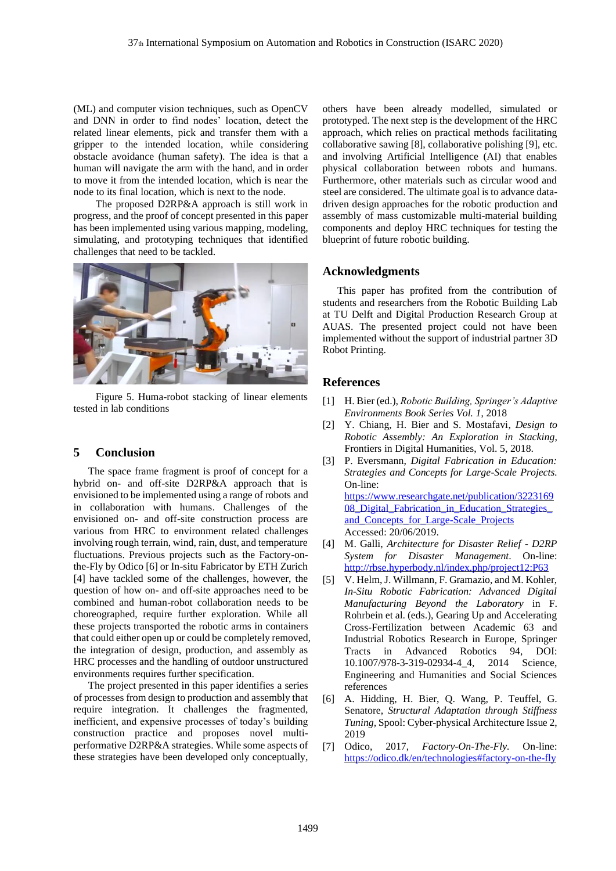(ML) and computer vision techniques, such as OpenCV and DNN in order to find nodes' location, detect the related linear elements, pick and transfer them with a gripper to the intended location, while considering obstacle avoidance (human safety). The idea is that a human will navigate the arm with the hand, and in order to move it from the intended location, which is near the node to its final location, which is next to the node.

The proposed D2RP&A approach is still work in progress, and the proof of concept presented in this paper has been implemented using various mapping, modeling, simulating, and prototyping techniques that identified challenges that need to be tackled.



Figure 5. Huma-robot stacking of linear elements tested in lab conditions

# **5 Conclusion**

The space frame fragment is proof of concept for a hybrid on- and off-site D2RP&A approach that is envisioned to be implemented using a range of robots and in collaboration with humans. Challenges of the envisioned on- and off-site construction process are various from HRC to environment related challenges involving rough terrain, wind, rain, dust, and temperature fluctuations. Previous projects such as the Factory-onthe-Fly by Odico [6] or In-situ Fabricator by ETH Zurich [4] have tackled some of the challenges, however, the question of how on- and off-site approaches need to be combined and human-robot collaboration needs to be choreographed, require further exploration. While all these projects transported the robotic arms in containers that could either open up or could be completely removed, the integration of design, production, and assembly as HRC processes and the handling of outdoor unstructured environments requires further specification.

The project presented in this paper identifies a series of processes from design to production and assembly that require integration. It challenges the fragmented, inefficient, and expensive processes of today's building construction practice and proposes novel multiperformative D2RP&A strategies. While some aspects of these strategies have been developed only conceptually,

others have been already modelled, simulated or prototyped. The next step is the development of the HRC approach, which relies on practical methods facilitating collaborative sawing [8], collaborative polishing [9], etc. and involving Artificial Intelligence (AI) that enables physical collaboration between robots and humans. Furthermore, other materials such as circular wood and steel are considered. The ultimate goal is to advance datadriven design approaches for the robotic production and assembly of mass customizable multi-material building components and deploy HRC techniques for testing the blueprint of future robotic building.

#### **Acknowledgments**

This paper has profited from the contribution of students and researchers from the Robotic Building Lab at TU Delft and Digital Production Research Group at AUAS. The presented project could not have been implemented without the support of industrial partner 3D Robot Printing.

# **References**

- [1] H. Bier (ed.), *Robotic Building, Springer's Adaptive Environments Book Series Vol. 1*, 2018
- [2] Y. Chiang, H. Bier and S. Mostafavi, *Design to Robotic Assembly: An Exploration in Stacking*, Frontiers in Digital Humanities, Vol. 5, 2018.
- [3] P. Eversmann, *Digital Fabrication in Education: Strategies and Concepts for Large-Scale Projects.* On-line: [https://www.researchgate.net/publication/3223169](https://www.researchgate.net/publication/322316908_Digital_Fabrication_in_Education_Strategies_and_Concepts_for_Large-Scale_Projects) 08 Digital Fabrication in Education Strategies and Concepts for Large-Scale Projects Accessed: 20/06/2019.
- [4] M. Galli, *Architecture for Disaster Relief - D2RP System for Disaster Management*. On-line: <http://rbse.hyperbody.nl/index.php/project12:P63>
- [5] V. Helm, J. Willmann, F. Gramazio, and M. Kohler, *In-Situ Robotic Fabrication: Advanced Digital Manufacturing Beyond the Laboratory* in F. Rohrbein et al. (eds.), Gearing Up and Accelerating Cross-Fertilization between Academic 63 and Industrial Robotics Research in Europe, Springer Tracts in Advanced Robotics 94, DOI: 10.1007/978-3-319-02934-4\_4, 2014 Science, Engineering and Humanities and Social Sciences references
- [6] A. Hidding, H. Bier, Q. Wang, P. Teuffel, G. Senatore, *Structural Adaptation through Stiffness Tuning,* Spool: Cyber-physical Architecture Issue 2, 2019
- [7] Odico, 2017, *Factory-On-The-Fly.* On-line: <https://odico.dk/en/technologies#factory-on-the-fly>